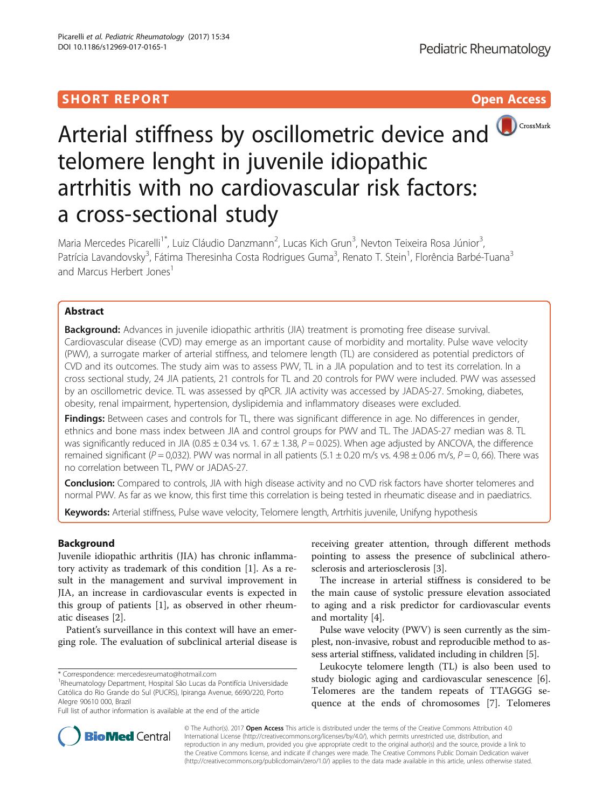## **SHORT REPORT SHORT CONSUMING THE CONSUMING THE CONSUMING THE CONSUMING THE CONSUMING THE CONSUMING THE CONSUMING THE CONSUMING THE CONSUMING THE CONSUMING THE CONSUMING THE CONSUMING THE CONSUMING THE CONSUMING THE CONS**



# Arterial stiffness by oscillometric device and telomere lenght in juvenile idiopathic artrhitis with no cardiovascular risk factors: a cross-sectional study

Maria Mercedes Picarelli<sup>1\*</sup>, Luiz Cláudio Danzmann<sup>2</sup>, Lucas Kich Grun<sup>3</sup>, Nevton Teixeira Rosa Júnior<sup>3</sup> , Patrícia Lavandovsky<sup>3</sup>, Fátima Theresinha Costa Rodrigues Guma<sup>3</sup>, Renato T. Stein<sup>1</sup>, Florência Barbé-Tuana<sup>3</sup> and Marcus Herbert Jones<sup>1</sup>

## Abstract

Background: Advances in juvenile idiopathic arthritis (JIA) treatment is promoting free disease survival. Cardiovascular disease (CVD) may emerge as an important cause of morbidity and mortality. Pulse wave velocity (PWV), a surrogate marker of arterial stiffness, and telomere length (TL) are considered as potential predictors of CVD and its outcomes. The study aim was to assess PWV, TL in a JIA population and to test its correlation. In a cross sectional study, 24 JIA patients, 21 controls for TL and 20 controls for PWV were included. PWV was assessed by an oscillometric device. TL was assessed by qPCR. JIA activity was accessed by JADAS-27. Smoking, diabetes, obesity, renal impairment, hypertension, dyslipidemia and inflammatory diseases were excluded.

Findings: Between cases and controls for TL, there was significant difference in age. No differences in gender, ethnics and bone mass index between JIA and control groups for PWV and TL. The JADAS-27 median was 8. TL was significantly reduced in JIA (0.85  $\pm$  0.34 vs. 1.67  $\pm$  1.38, P = 0.025). When age adjusted by ANCOVA, the difference remained significant ( $P = 0.032$ ). PWV was normal in all patients (5.1  $\pm$  0.20 m/s vs. 4.98  $\pm$  0.06 m/s,  $P = 0$ , 66). There was no correlation between TL, PWV or JADAS-27.

Conclusion: Compared to controls, JIA with high disease activity and no CVD risk factors have shorter telomeres and normal PWV. As far as we know, this first time this correlation is being tested in rheumatic disease and in paediatrics.

Keywords: Arterial stiffness, Pulse wave velocity, Telomere length, Artrhitis juvenile, Unifyng hypothesis

## Background

Juvenile idiopathic arthritis (JIA) has chronic inflammatory activity as trademark of this condition [[1\]](#page-3-0). As a result in the management and survival improvement in JIA, an increase in cardiovascular events is expected in this group of patients [\[1](#page-3-0)], as observed in other rheumatic diseases [[2\]](#page-3-0).

Patient's surveillance in this context will have an emerging role. The evaluation of subclinical arterial disease is receiving greater attention, through different methods pointing to assess the presence of subclinical atherosclerosis and arteriosclerosis [[3\]](#page-4-0).

The increase in arterial stiffness is considered to be the main cause of systolic pressure elevation associated to aging and a risk predictor for cardiovascular events and mortality [[4\]](#page-4-0).

Pulse wave velocity (PWV) is seen currently as the simplest, non-invasive, robust and reproducible method to assess arterial stiffness, validated including in children [\[5](#page-4-0)].

Leukocyte telomere length (TL) is also been used to study biologic aging and cardiovascular senescence [\[6](#page-4-0)]. Telomeres are the tandem repeats of TTAGGG sequence at the ends of chromosomes [\[7\]](#page-4-0). Telomeres



© The Author(s). 2017 **Open Access** This article is distributed under the terms of the Creative Commons Attribution 4.0 International License [\(http://creativecommons.org/licenses/by/4.0/](http://creativecommons.org/licenses/by/4.0/)), which permits unrestricted use, distribution, and reproduction in any medium, provided you give appropriate credit to the original author(s) and the source, provide a link to the Creative Commons license, and indicate if changes were made. The Creative Commons Public Domain Dedication waiver [\(http://creativecommons.org/publicdomain/zero/1.0/](http://creativecommons.org/publicdomain/zero/1.0/)) applies to the data made available in this article, unless otherwise stated.

<sup>\*</sup> Correspondence: [mercedesreumato@hotmail.com](mailto:mercedesreumato@hotmail.com) <sup>1</sup>

<sup>&</sup>lt;sup>1</sup>Rheumatology Department, Hospital São Lucas da Pontifícia Universidade Católica do Rio Grande do Sul (PUCRS), Ipiranga Avenue, 6690/220, Porto Alegre 90610 000, Brazil

Full list of author information is available at the end of the article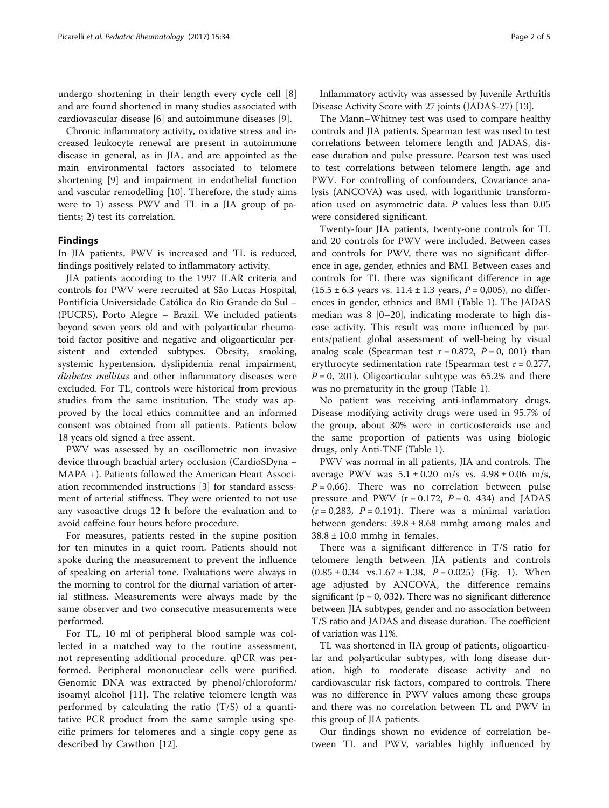undergo shortening in their length every cycle cell [\[8](#page-4-0)] and are found shortened in many studies associated with cardiovascular disease [[6\]](#page-4-0) and autoimmune diseases [\[9](#page-4-0)].

Chronic inflammatory activity, oxidative stress and increased leukocyte renewal are present in autoimmune disease in general, as in JIA, and are appointed as the main environmental factors associated to telomere shortening [\[9](#page-4-0)] and impairment in endothelial function and vascular remodelling [\[10](#page-4-0)]. Therefore, the study aims were to 1) assess PWV and TL in a JIA group of patients; 2) test its correlation.

#### Findings

In JIA patients, PWV is increased and TL is reduced, findings positively related to inflammatory activity.

JIA patients according to the 1997 ILAR criteria and controls for PWV were recruited at São Lucas Hospital, Pontifícia Universidade Católica do Rio Grande do Sul – (PUCRS), Porto Alegre – Brazil. We included patients beyond seven years old and with polyarticular rheumatoid factor positive and negative and oligoarticular persistent and extended subtypes. Obesity, smoking, systemic hypertension, dyslipidemia renal impairment, diabetes mellitus and other inflammatory diseases were excluded. For TL, controls were historical from previous studies from the same institution. The study was approved by the local ethics committee and an informed consent was obtained from all patients. Patients below 18 years old signed a free assent.

PWV was assessed by an oscillometric non invasive device through brachial artery occlusion (CardioSDyna – MAPA +). Patients followed the American Heart Association recommended instructions [[3\]](#page-4-0) for standard assessment of arterial stiffness. They were oriented to not use any vasoactive drugs 12 h before the evaluation and to avoid caffeine four hours before procedure.

For measures, patients rested in the supine position for ten minutes in a quiet room. Patients should not spoke during the measurement to prevent the influence of speaking on arterial tone. Evaluations were always in the morning to control for the diurnal variation of arterial stiffness. Measurements were always made by the same observer and two consecutive measurements were performed.

For TL, 10 ml of peripheral blood sample was collected in a matched way to the routine assessment, not representing additional procedure. qPCR was performed. Peripheral mononuclear cells were purified. Genomic DNA was extracted by phenol/chloroform/ isoamyl alcohol [[11\]](#page-4-0). The relative telomere length was performed by calculating the ratio  $(T/S)$  of a quantitative PCR product from the same sample using specific primers for telomeres and a single copy gene as described by Cawthon [[12](#page-4-0)].

Inflammatory activity was assessed by Juvenile Arthritis Disease Activity Score with 27 joints (JADAS-27) [\[13](#page-4-0)].

The Mann–Whitney test was used to compare healthy controls and JIA patients. Spearman test was used to test correlations between telomere length and JADAS, disease duration and pulse pressure. Pearson test was used to test correlations between telomere length, age and PWV. For controlling of confounders, Covariance analysis (ANCOVA) was used, with logarithmic transformation used on asymmetric data. P values less than 0.05 were considered significant.

Twenty-four JIA patients, twenty-one controls for TL and 20 controls for PWV were included. Between cases and controls for PWV, there was no significant difference in age, gender, ethnics and BMI. Between cases and controls for TL there was significant difference in age  $(15.5 \pm 6.3 \text{ years} \text{ vs. } 11.4 \pm 1.3 \text{ years}, P = 0.005)$ , no differences in gender, ethnics and BMI (Table [1](#page-2-0)). The JADAS median was 8 [0–20], indicating moderate to high disease activity. This result was more influenced by parents/patient global assessment of well-being by visual analog scale (Spearman test  $r = 0.872$ ,  $P = 0$ , 001) than erythrocyte sedimentation rate (Spearman test  $r = 0.277$ ,  $P = 0$ , 201). Oligoarticular subtype was 65.2% and there was no prematurity in the group (Table [1](#page-2-0)).

No patient was receiving anti-inflammatory drugs. Disease modifying activity drugs were used in 95.7% of the group, about 30% were in corticosteroids use and the same proportion of patients was using biologic drugs, only Anti-TNF (Table [1\)](#page-2-0).

PWV was normal in all patients, JIA and controls. The average PWV was  $5.1 \pm 0.20$  m/s vs.  $4.98 \pm 0.06$  m/s,  $P = 0.66$ ). There was no correlation between pulse pressure and PWV ( $r = 0.172$ ,  $P = 0.434$ ) and JADAS  $(r = 0.283, P = 0.191)$ . There was a minimal variation between genders:  $39.8 \pm 8.68$  mmhg among males and  $38.8 \pm 10.0$  mmhg in females.

There was a significant difference in T/S ratio for telomere length between JIA patients and controls  $(0.85 \pm 0.34 \text{ vs. } 1.67 \pm 1.38, P = 0.025)$  (Fig. [1\)](#page-3-0). When age adjusted by ANCOVA, the difference remains significant ( $p = 0$ , 032). There was no significant difference between JIA subtypes, gender and no association between T/S ratio and JADAS and disease duration. The coefficient of variation was 11%.

TL was shortened in JIA group of patients, oligoarticular and polyarticular subtypes, with long disease duration, high to moderate disease activity and no cardiovascular risk factors, compared to controls. There was no difference in PWV values among these groups and there was no correlation between TL and PWV in this group of JIA patients.

Our findings shown no evidence of correlation between TL and PWV, variables highly influenced by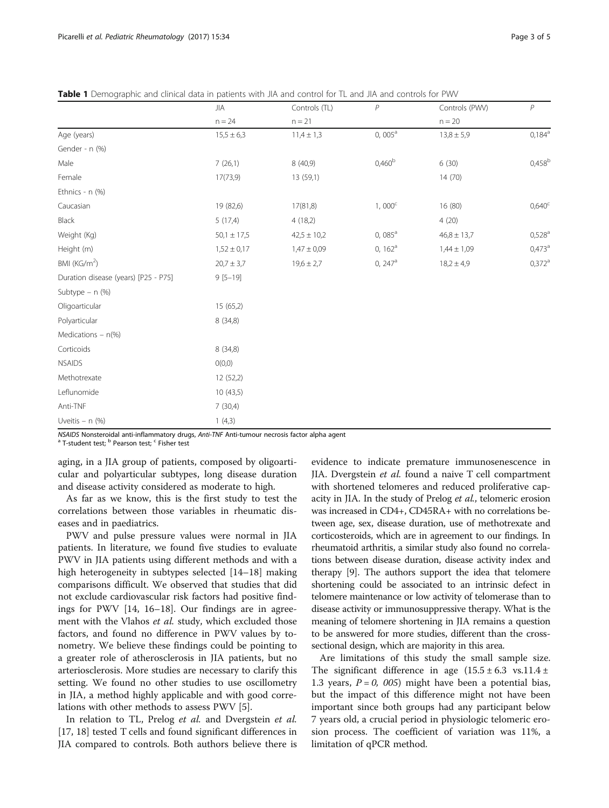<span id="page-2-0"></span>

| <b>Table 1</b> Demographic and clinical data in patients with JIA and control for TL and JIA and controls for PWV |  |  |
|-------------------------------------------------------------------------------------------------------------------|--|--|
|-------------------------------------------------------------------------------------------------------------------|--|--|

|                                      | <b>JIA</b><br>$n = 24$ | Controls (TL)<br>$n = 21$ | $\overline{P}$        | Controls (PWV)<br>$n = 20$ | P               |
|--------------------------------------|------------------------|---------------------------|-----------------------|----------------------------|-----------------|
|                                      |                        |                           |                       |                            |                 |
| Age (years)                          | $15,5 \pm 6,3$         | $11,4 \pm 1,3$            | $0,005^a$             | $13,8 \pm 5,9$             | $0,184^{\rm a}$ |
| Gender - n (%)                       |                        |                           |                       |                            |                 |
| Male                                 | 7(26,1)                | 8(40,9)                   | $0,460^{\rm b}$       | 6(30)                      | $0,458^{\rm b}$ |
| Female                               | 17(73,9)               | 13 (59,1)                 |                       | 14 (70)                    |                 |
| Ethnics - $n$ (%)                    |                        |                           |                       |                            |                 |
| Caucasian                            | 19 (82,6)              | 17(81,8)                  | $1,000^{\circ}$       | 16 (80)                    | $0,640^{\circ}$ |
| Black                                | 5(17,4)                | 4(18,2)                   |                       | 4(20)                      |                 |
| Weight (Kg)                          | $50,1 \pm 17,5$        | $42,5 \pm 10,2$           | $0,085^{\circ}$       | $46,8 \pm 13,7$            | $0,528^{\rm a}$ |
| Height (m)                           | $1,52 \pm 0,17$        | $1,47 \pm 0,09$           | $0, 162^a$            | $1,44 \pm 1,09$            | $0,473^a$       |
| BMI (KG/m <sup>2</sup> )             | $20,7 \pm 3,7$         | $19,6 \pm 2,7$            | $0, 247$ <sup>a</sup> | $18,2 \pm 4,9$             | $0,372^a$       |
| Duration disease (years) [P25 - P75] | $9[5-19]$              |                           |                       |                            |                 |
| Subtype $- n$ (%)                    |                        |                           |                       |                            |                 |
| Oligoarticular                       | 15(65,2)               |                           |                       |                            |                 |
| Polyarticular                        | 8(34,8)                |                           |                       |                            |                 |
| Medications - $n$ (%)                |                        |                           |                       |                            |                 |
| Corticoids                           | 8(34,8)                |                           |                       |                            |                 |
| <b>NSAIDS</b>                        | O(0,0)                 |                           |                       |                            |                 |
| Methotrexate                         | 12(52,2)               |                           |                       |                            |                 |
| Leflunomide                          | 10(43,5)               |                           |                       |                            |                 |
| Anti-TNF                             | 7(30,4)                |                           |                       |                            |                 |
| Uveitis - $n$ (%)                    | 1(4,3)                 |                           |                       |                            |                 |

NSAIDS Nonsteroidal anti-inflammatory drugs, Anti-TNF Anti-tumour necrosis factor alpha agent a T-student test; <sup>b</sup> Pearson test; <sup>c</sup> Fisher test

aging, in a JIA group of patients, composed by oligoarticular and polyarticular subtypes, long disease duration and disease activity considered as moderate to high.

As far as we know, this is the first study to test the correlations between those variables in rheumatic diseases and in paediatrics.

PWV and pulse pressure values were normal in JIA patients. In literature, we found five studies to evaluate PWV in JIA patients using different methods and with a high heterogeneity in subtypes selected [[14](#page-4-0)–[18](#page-4-0)] making comparisons difficult. We observed that studies that did not exclude cardiovascular risk factors had positive findings for PWV [\[14](#page-4-0), [16](#page-4-0)–[18\]](#page-4-0). Our findings are in agreement with the Vlahos et al. study, which excluded those factors, and found no difference in PWV values by tonometry. We believe these findings could be pointing to a greater role of atherosclerosis in JIA patients, but no arteriosclerosis. More studies are necessary to clarify this setting. We found no other studies to use oscillometry in JIA, a method highly applicable and with good correlations with other methods to assess PWV [[5\]](#page-4-0).

In relation to TL, Prelog et al. and Dvergstein et al. [[17, 18](#page-4-0)] tested T cells and found significant differences in JIA compared to controls. Both authors believe there is

evidence to indicate premature immunosenescence in JIA. Dvergstein et al. found a naive T cell compartment with shortened telomeres and reduced proliferative capacity in JIA. In the study of Prelog et al., telomeric erosion was increased in CD4+, CD45RA+ with no correlations between age, sex, disease duration, use of methotrexate and corticosteroids, which are in agreement to our findings. In rheumatoid arthritis, a similar study also found no correlations between disease duration, disease activity index and therapy [\[9\]](#page-4-0). The authors support the idea that telomere shortening could be associated to an intrinsic defect in telomere maintenance or low activity of telomerase than to disease activity or immunosuppressive therapy. What is the meaning of telomere shortening in JIA remains a question to be answered for more studies, different than the crosssectional design, which are majority in this area.

Are limitations of this study the small sample size. The significant difference in age  $(15.5 \pm 6.3 \text{ vs. } 11.4 \pm 1.5)$ 1.3 years,  $P = 0$ , 005) might have been a potential bias, but the impact of this difference might not have been important since both groups had any participant below 7 years old, a crucial period in physiologic telomeric erosion process. The coefficient of variation was 11%, a limitation of qPCR method.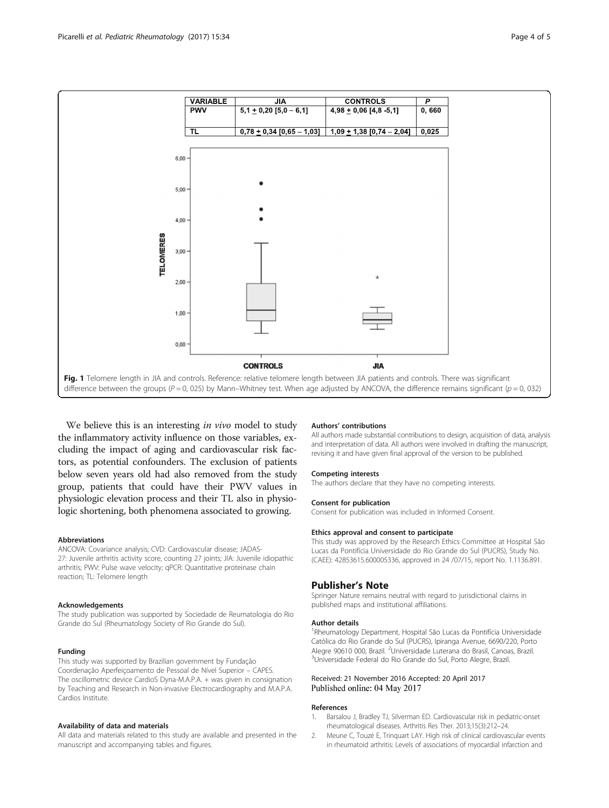<span id="page-3-0"></span>

We believe this is an interesting *in vivo* model to study the inflammatory activity influence on those variables, excluding the impact of aging and cardiovascular risk factors, as potential confounders. The exclusion of patients below seven years old had also removed from the study group, patients that could have their PWV values in physiologic elevation process and their TL also in physiologic shortening, both phenomena associated to growing.

#### Abbreviations

ANCOVA: Covariance analysis; CVD: Cardiovascular disease; JADAS-27: Juvenile arthritis activity score, counting 27 joints; JIA: Juvenile idiopathic arthritis; PWV: Pulse wave velocity; qPCR: Quantitative proteinase chain reaction; TL: Telomere length

#### Acknowledgements

The study publication was supported by Sociedade de Reumatologia do Rio Grande do Sul (Rheumatology Society of Rio Grande do Sul).

#### Funding

This study was supported by Brazilian government by Fundação Coordenação Aperfeiçoamento de Pessoal de Nível Superior – CAPES. The oscillometric device CardioS Dyna-M.A.P.A. + was given in consignation by Teaching and Research in Non-invasive Electrocardiography and M.A.P.A. Cardios Institute.

#### Availability of data and materials

All data and materials related to this study are available and presented in the manuscript and accompanying tables and figures.

#### Authors' contributions

All authors made substantial contributions to design, acquisition of data, analysis and interpretation of data. All authors were involved in drafting the manuscript, revising it and have given final approval of the version to be published.

#### Competing interests

The authors declare that they have no competing interests.

#### Consent for publication

Consent for publication was included in Informed Consent.

#### Ethics approval and consent to participate

This study was approved by the Research Ethics Committee at Hospital São Lucas da Pontifícia Universidade do Rio Grande do Sul (PUCRS), Study No. (CAEE): 42853615.600005336, approved in 24 /07/15, report No. 1.1136.891.

#### Publisher's Note

Springer Nature remains neutral with regard to jurisdictional claims in published maps and institutional affiliations.

#### Author details

<sup>1</sup>Rheumatology Department, Hospital São Lucas da Pontifícia Universidade Católica do Rio Grande do Sul (PUCRS), Ipiranga Avenue, 6690/220, Porto Alegre 90610 000, Brazil. <sup>2</sup>Universidade Luterana do Brasil, Canoas, Brazil.<br><sup>3</sup>Universidade Eederal do Bio Grande do Sul Porto Alegre Brazil. <sup>3</sup>Universidade Federal do Rio Grande do Sul, Porto Alegre, Brazil.

#### Received: 21 November 2016 Accepted: 20 April 2017 Published online: 04 May 2017

#### References

- 1. Barsalou J, Bradley TJ, Silverman ED. Cardiovascular risk in pediatric-onset rheumatological diseases. Arthritis Res Ther. 2013;15(3):212–24.
- 2. Meune C, Touzé E, Trinquart LAY. High risk of clinical cardiovascular events in rheumatoid arthritis: Levels of associations of myocardial infarction and